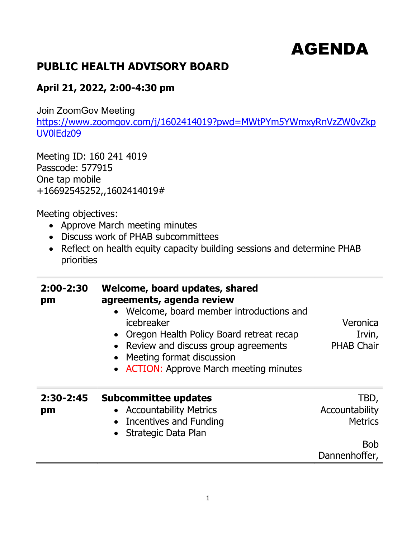## AGENDA

## PUBLIC HEALTH ADVISORY BOARD

## April 21, 2022, 2:00-4:30 pm

Join ZoomGov Meeting

https://www.zoomgov.com/j/1602414019?pwd=MWtPYm5YWmxyRnVzZW0vZkp UV0lEdz09

Meeting ID: 160 241 4019 Passcode: 577915 One tap mobile +16692545252,,1602414019#

Meeting objectives:

- Approve March meeting minutes
- Discuss work of PHAB subcommittees
- Reflect on health equity capacity building sessions and determine PHAB priorities

| 2:00-2:30<br>pm     | Welcome, board updates, shared<br>agreements, agenda review<br>• Welcome, board member introductions and<br>icebreaker<br>• Oregon Health Policy Board retreat recap<br>• Review and discuss group agreements<br>• Meeting format discussion<br>• ACTION: Approve March meeting minutes | Veronica<br>Irvin,<br><b>PHAB Chair</b>                |
|---------------------|-----------------------------------------------------------------------------------------------------------------------------------------------------------------------------------------------------------------------------------------------------------------------------------------|--------------------------------------------------------|
| $2:30 - 2:45$<br>pm | <b>Subcommittee updates</b><br>• Accountability Metrics<br>• Incentives and Funding<br>Strategic Data Plan                                                                                                                                                                              | TBD,<br>Accountability<br><b>Metrics</b><br><b>Bob</b> |
|                     |                                                                                                                                                                                                                                                                                         | Dannenhoffer,                                          |
|                     |                                                                                                                                                                                                                                                                                         |                                                        |